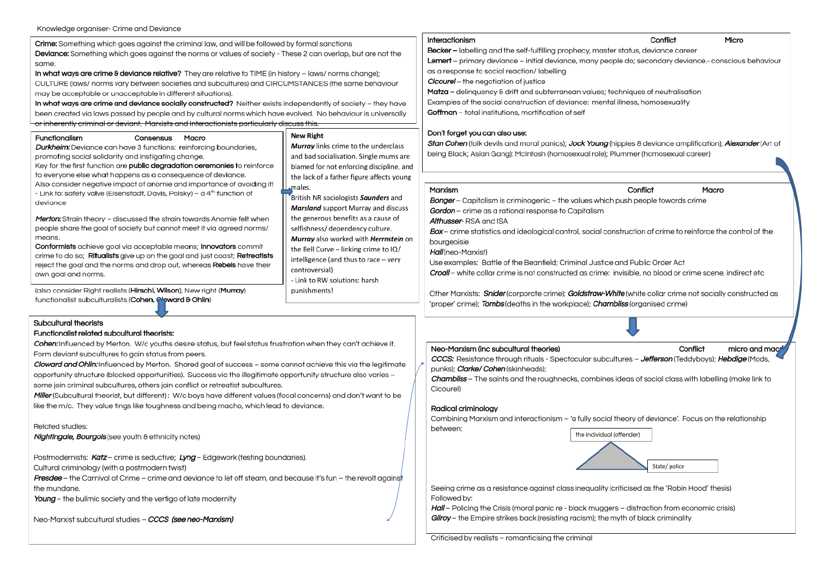Crime: Something which goes gaginst the criming law, and will be followed by formal sanctions Deviance: Something which goes against the norms or values of society - These 2 can overlap, but are not the same.

In what ways are crime & deviance relative? They are relative to TIME (in history - laws/ norms change); CULTURE (laws/ norms vary between societies and subcultures) and CIRCUMSTANCES (the same behaviour may be acceptable or unacceptable in different situations).

In what ways are crime and deviance socially constructed? Neither exists independently of society - they have been created via laws passed by people and by cultural norms which have evolved. No behaviour is universally or inherently criminal or deviant. Marxists and Interactionists particularly discuss this

| Functionalism                                                                       | Consensus | Macro                                     | <b>New Right</b>                     |
|-------------------------------------------------------------------------------------|-----------|-------------------------------------------|--------------------------------------|
| Durkheim: Deviance can have 3 functions: reinforcing boundaries,                    |           |                                           | Murray links crime to the underclass |
| promoting social solidarity and instigating change.                                 |           | and bad socialisation. Single mums are    |                                      |
| Key for the first function are public degradation ceremonies to reinforce           |           | blamed for not enforcing discipline, and  |                                      |
| to everyone else what happens as a consequence of deviance.                         |           | the lack of a father figure affects young |                                      |
| Also consider negative impact of anomie and importance of avoiding it!              |           | males.                                    |                                      |
| - Link to: safety valve (Eisenstadt, Davis, Polsky) - a 4 <sup>th</sup> function of |           | British NR sociologists Saunders and      |                                      |
| deviance                                                                            |           |                                           |                                      |

Merton: Strain theory - discussed the strain towards Anomie felt when people share the goal of society but cannot meet it via agreed norms/ means.

Conformists achieve goal via acceptable means; Innovators commit crime to do so; Ritualists give up on the goal and just coast; Retreatists reject the goal and the norms and drop out, whereas Rebels have their own goal and norms.

(also consider Right realists (Hirschi, Wilson), New right (Murray) functionalist subculturalists (Cohen, Cloward & Ohlin)

## Subcultural theorists

#### Functionalist related subcultural theorists:

Cohen: Influenced by Merton. W/c youths desire status, but feel status frustration when they can't achieve it. Form deviant subcultures to gain status from peers.

Cloward and Ohlin: Influenced by Merton. Shared goal of success - some cannot achieve this via the legitimate opportunity structure (blocked opportunities). Success via the illegitimate opportunity structure also varies some join criminal subcultures, others join conflict or retreatist subcultures.

Miller (Subcultural theorist, but different): W/c boys have different values (focal concerns) and don't want to be like the m/c. They value tings like toughness and being macho, which lead to deviance.

Related studies:

**Nightingale, Bourgois** (see youth & ethnicity notes)

Postmodernists: Katz – crime is seductive; Lyng – Edgework (testing boundaries).

Cultural criminology (with a postmodern twist)

**Presdee** – the Carnival of Crime – crime and deviance to let off steam, and because it's fun – the revolt against the mundane.

Young - the bulimic society and the vertigo of late modernity

Neo-Marxist subcultural studies - CCCS (see neo-Marxism)

### Interactionism

**Becker** - labelling and the self-fulfilling prophecy, master **Lemert** - primary deviance - initial deviance, many peop as a response to social reaction/ labelling Cicourel - the negotiation of justice Matza - delinquency & drift and subterranean values; tea

Examples of the social construction of deviance: mental Goffman - total institutions, mortification of self

## Don't forget you can also use:

Stan Cohen (folk devils and moral panics); Jock Young (hi being Black; Asian Gang); McIntosh (homosexual role); Pl

### Marxism

Marsland support Murray and discuss

Murray also worked with Herrnstein on

the generous benefits as a cause of

the Bell Curve - linking crime to IQ/

intelligence (and thus to race - very

- Link to RW solutions: harsh

controversial)

punishments!

selfishness/ dependency culture.

**Bonger** - Capitalism is criminogenic - the values which Gordon - crime as a rational response to Capitalism Althusser-RSA and ISA **Box** – crime statistics and ideological control, social con bourgeoisie Hall (neo-Marxist) Use examples: Battle of the Beanfield; Criminal Justice **Croall** – white collar crime is not constructed as crime: i

Other Marxists: Snider (corporate crime); Goldstraw-Wh 'proper' crime); Tombs (deaths in the workplace); Chamb

## Neo-Marxism (inc subcultural theories)

CCCS: Resistance through rituals - Spectacular subcult punks): *Clarke/ Cohen* (skinheads):

**Chambliss** - The saints and the roughnecks, combines Cicourel)

# Radical criminology

Combining Marxism and interactionism - 'a fully social between:



Seeing crime as a resistance against class inequality (c) Followed by:

Hall - Policing the Crisis (moral panic re - black mugger Gilroy - the Empire strikes back (resisting racism); the myth of black criminality

| Conflict<br>Micro                                                 |
|-------------------------------------------------------------------|
| status, deviance career                                           |
| »le do; secondary deviance.- conscious behaviour                  |
|                                                                   |
| chniques of neutralisation                                        |
| illness, homosexuality                                            |
|                                                                   |
|                                                                   |
|                                                                   |
| ippies & deviance amplification); <b><i>Alexander</i></b> (Art of |
| lummer (homosexual career)                                        |
|                                                                   |
| Conflict<br>Macro                                                 |
| push people towards crime                                         |
|                                                                   |
|                                                                   |
| istruction of crime to reinforce the control of the               |
|                                                                   |
| and Public Order Act                                              |
| nvisible, no blood or crime scene, indirect etc                   |
|                                                                   |
| <b>ife</b> (white collar crime not socially constructed as        |
| bliss (organised crime)                                           |
|                                                                   |
|                                                                   |
| Conflict<br>micro and mac                                         |
| tures – Jefferson (Teddyboys); Hebdige (Mods,                     |
|                                                                   |
| ideas of social class with labelling (make link to                |
|                                                                   |
|                                                                   |
| theory of deviance'. Focus on the relationship                    |
|                                                                   |
| offender)                                                         |
|                                                                   |
| State/police                                                      |
|                                                                   |
| riticised as the 'Robin Hood' thesis)                             |
|                                                                   |
| s – distraction from economic crisis)                             |